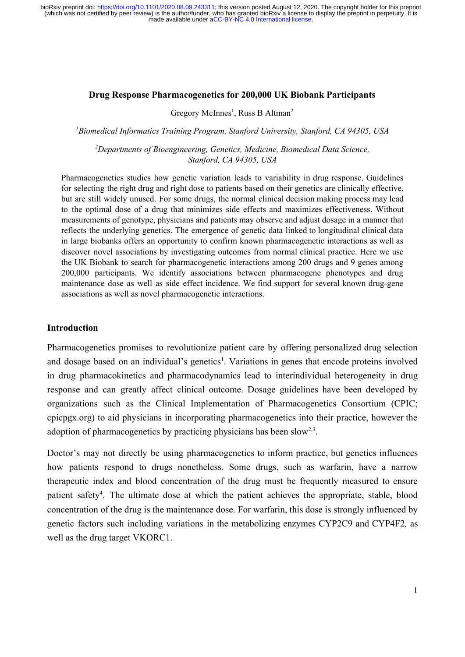#### **Drug Response Pharmacogenetics for 200,000 UK Biobank Participants**

Gregory McInnes<sup>1</sup>, Russ B Altman<sup>2</sup>

*<sup>1</sup>Biomedical Informatics Training Program, Stanford University, Stanford, CA 94305, USA*

*<sup>2</sup>Departments of Bioengineering, Genetics, Medicine, Biomedical Data Science, Stanford, CA 94305, USA* 

Pharmacogenetics studies how genetic variation leads to variability in drug response. Guidelines for selecting the right drug and right dose to patients based on their genetics are clinically effective, but are still widely unused. For some drugs, the normal clinical decision making process may lead to the optimal dose of a drug that minimizes side effects and maximizes effectiveness. Without measurements of genotype, physicians and patients may observe and adjust dosage in a manner that reflects the underlying genetics. The emergence of genetic data linked to longitudinal clinical data in large biobanks offers an opportunity to confirm known pharmacogenetic interactions as well as discover novel associations by investigating outcomes from normal clinical practice. Here we use the UK Biobank to search for pharmacogenetic interactions among 200 drugs and 9 genes among 200,000 participants. We identify associations between pharmacogene phenotypes and drug maintenance dose as well as side effect incidence. We find support for several known drug-gene associations as well as novel pharmacogenetic interactions.

## **Introduction**

Pharmacogenetics promises to revolutionize patient care by offering personalized drug selection and dosage based on an individual's genetics<sup>1</sup>. Variations in genes that encode proteins involved in drug pharmacokinetics and pharmacodynamics lead to interindividual heterogeneity in drug response and can greatly affect clinical outcome. Dosage guidelines have been developed by organizations such as the Clinical Implementation of Pharmacogenetics Consortium (CPIC; cpicpgx.org) to aid physicians in incorporating pharmacogenetics into their practice, however the adoption of pharmacogenetics by practicing physicians has been slow<sup>[2,3](https://paperpile.com/c/7YLZw0/Tk2f+PasA)</sup>.

Doctor's may not directly be using pharmacogenetics to inform practice, but genetics influences how patients respond to drugs nonetheless. Some drugs, such as warfarin, have a narrow therapeutic index and blood concentration of the drug must be frequently measured to ensure patient safety<sup>4</sup>. The ultimate dose at which the patient achieves the appropriate, stable, blood concentration of the drug is the maintenance dose. For warfarin, this dose is strongly influenced by genetic factors such including variations in the metabolizing enzymes CYP2C9 and CYP4F2 *,* as well as the drug target VKORC1.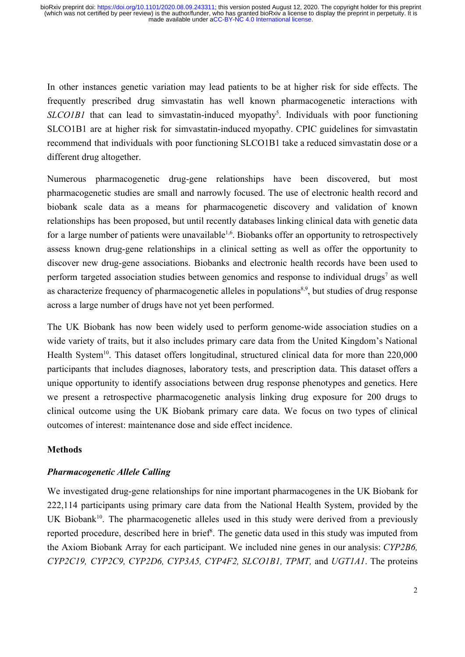In other instances genetic variation may lead patients to be at higher risk for side effects. The frequently prescribed drug simvastatin has well known pharmacogenetic interactions with SLCO1B1 that can lead to simvastatin-induced myopathy<sup>5</sup>. Individuals with poor functioning SLCO1B1 are at higher risk for simvastatin-induced myopathy. CPIC guidelines for simvastatin recommend that individuals with poor functioning SLCO1B1 take a reduced simvastatin dose or a different drug altogether.

Numerous pharmacogenetic drug-gene relationships have been discovered, but most pharmacogenetic studies are small and narrowly focused. The use of electronic health record and biobank scale data as a means for pharmacogenetic discovery and validation of known relationships has been proposed, but until recently databases linking clinical data with genetic data for a large number of patients were unavailable<sup>1,6</sup>. Biobanks offer an opportunity to retrospectively assess known drug-gene relationships in a clinical setting as well as offer the opportunity to discover new drug-gene associations. Biobanks and electronic health records have been used to perform targeted association studies between genomics and response to individual drugs<sup>7</sup> as well as characterize frequency of pharmacogenetic alleles in populations<sup>8[,](https://paperpile.com/c/7YLZw0/im9c+mhTf)9</sup>, but studies of drug response across a large number of drugs have not yet been performed.

The UK Biobank has now been widely used to perform genome-wide association studies on a wide variety of traits, but it also includes primary care data from the United Kingdom's National Health System<sup>10</sup>[.](https://paperpile.com/c/7YLZw0/ilTN) This dataset offers longitudinal, structured clinical data for more than 220,000 participants that includes diagnoses, laboratory tests, and prescription data. This dataset offers a unique opportunity to identify associations between drug response phenotypes and genetics. Here we present a retrospective pharmacogenetic analysis linking drug exposure for 200 drugs to clinical outcome using the UK Biobank primary care data. We focus on two types of clinical outcomes of interest: maintenance dose and side effect incidence.

## **Methods**

## *Pharmacogenetic Allele Calling*

We investigated drug-gene relationships for nine important pharmacogenes in the UK Biobank for 222,114 participants using primary care data from the National Health System, provided by the UK Biobank<sup>10</sup>. The pharmacogenetic alleles used in this study were derived from a previously reported procedure, described here in brief<sup>8</sup>. The genetic data used in this study was imputed from the Axiom Biobank Array for each participant. We included nine genes in our analysis: *CYP2B6, CYP2C19, CYP2C9, CYP2D6, CYP3A5, CYP4F2, SLCO1B1, TPMT,* and *UGT1A1*. The proteins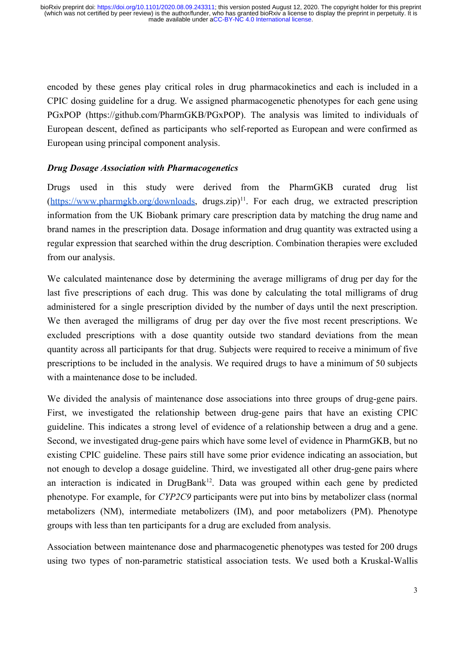encoded by these genes play critical roles in drug pharmacokinetics and each is included in a CPIC dosing guideline for a drug. We assigned pharmacogenetic phenotypes for each gene using PGxPOP (https://github.com/PharmGKB/PGxPOP). The analysis was limited to individuals of European descent, defined as participants who self-reported as European and were confirmed as European using principal component analysis.

## *Drug Dosage Association with Pharmacogenetics*

Drugs used in this study were derived from the PharmGKB curated drug list  $(\frac{https://www.pharmgkb.org/downloads}{https://www.pharmgkb.org/downloads}, \frac{drugszip}{1}$  $(\frac{https://www.pharmgkb.org/downloads}{https://www.pharmgkb.org/downloads}, \frac{drugszip}{1}$  $(\frac{https://www.pharmgkb.org/downloads}{https://www.pharmgkb.org/downloads}, \frac{drugszip}{1}$ . For each drug, we extracted prescription information from the UK Biobank primary care prescription data by matching the drug name and brand names in the prescription data. Dosage information and drug quantity was extracted using a regular expression that searched within the drug description. Combination therapies were excluded from our analysis.

We calculated maintenance dose by determining the average milligrams of drug per day for the last five prescriptions of each drug. This was done by calculating the total milligrams of drug administered for a single prescription divided by the number of days until the next prescription. We then averaged the milligrams of drug per day over the five most recent prescriptions. We excluded prescriptions with a dose quantity outside two standard deviations from the mean quantity across all participants for that drug. Subjects were required to receive a minimum of five prescriptions to be included in the analysis. We required drugs to have a minimum of 50 subjects with a maintenance dose to be included.

We divided the analysis of maintenance dose associations into three groups of drug-gene pairs. First, we investigated the relationship between drug-gene pairs that have an existing CPIC guideline. This indicates a strong level of evidence of a relationship between a drug and a gene. Second, we investigated drug-gene pairs which have some level of evidence in PharmGKB, but no existing CPIC guideline. These pairs still have some prior evidence indicating an association, but not enough to develop a dosage guideline. Third, we investigated all other drug-gene pairs where an interaction is indicated in DrugBank<sup>12</sup>[.](https://paperpile.com/c/7YLZw0/2c34) Data was grouped within each gene by predicted phenotype. For example, for *CYP2C9* participants were put into bins by metabolizer class (normal metabolizers (NM), intermediate metabolizers (IM), and poor metabolizers (PM). Phenotype groups with less than ten participants for a drug are excluded from analysis.

Association between maintenance dose and pharmacogenetic phenotypes was tested for 200 drugs using two types of non-parametric statistical association tests. We used both a Kruskal-Wallis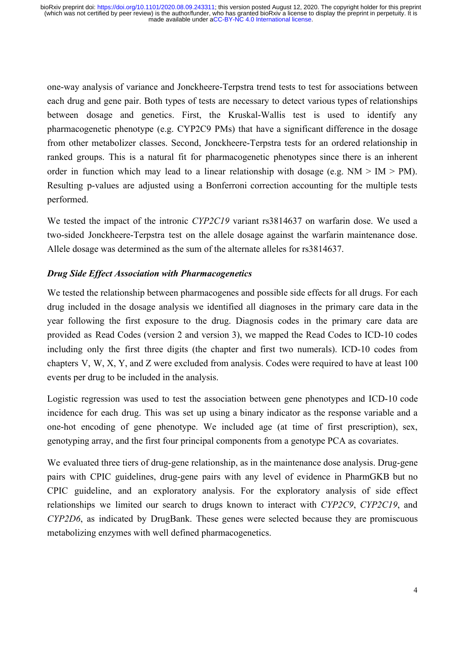one-way analysis of variance and Jonckheere-Terpstra trend tests to test for associations between each drug and gene pair. Both types of tests are necessary to detect various types of relationships between dosage and genetics. First, the Kruskal-Wallis test is used to identify any pharmacogenetic phenotype (e.g. CYP2C9 PMs) that have a significant difference in the dosage from other metabolizer classes. Second, Jonckheere-Terpstra tests for an ordered relationship in ranked groups. This is a natural fit for pharmacogenetic phenotypes since there is an inherent order in function which may lead to a linear relationship with dosage (e.g.  $NM > IM > PM$ ). Resulting p-values are adjusted using a Bonferroni correction accounting for the multiple tests performed.

We tested the impact of the intronic *CYP2C19* variant rs3814637 on warfarin dose. We used a two-sided Jonckheere-Terpstra test on the allele dosage against the warfarin maintenance dose. Allele dosage was determined as the sum of the alternate alleles for rs3814637.

# *Drug Side Effect Association with Pharmacogenetics*

We tested the relationship between pharmacogenes and possible side effects for all drugs. For each drug included in the dosage analysis we identified all diagnoses in the primary care data in the year following the first exposure to the drug. Diagnosis codes in the primary care data are provided as Read Codes (version 2 and version 3), we mapped the Read Codes to ICD-10 codes including only the first three digits (the chapter and first two numerals). ICD-10 codes from chapters V, W, X, Y, and Z were excluded from analysis. Codes were required to have at least 100 events per drug to be included in the analysis.

Logistic regression was used to test the association between gene phenotypes and ICD-10 code incidence for each drug. This was set up using a binary indicator as the response variable and a one-hot encoding of gene phenotype. We included age (at time of first prescription), sex, genotyping array, and the first four principal components from a genotype PCA as covariates.

We evaluated three tiers of drug-gene relationship, as in the maintenance dose analysis. Drug-gene pairs with CPIC guidelines, drug-gene pairs with any level of evidence in PharmGKB but no CPIC guideline, and an exploratory analysis. For the exploratory analysis of side effect relationships we limited our search to drugs known to interact with *CYP2C9*, *CYP2C19*, and *CYP2D6*, as indicated by DrugBank. These genes were selected because they are promiscuous metabolizing enzymes with well defined pharmacogenetics.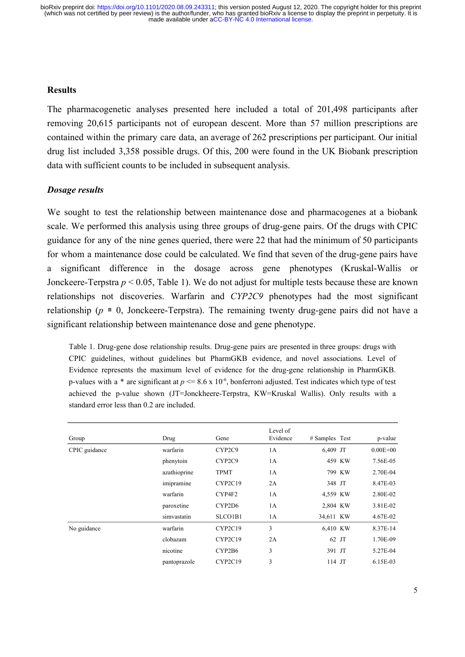#### **Results**

The pharmacogenetic analyses presented here included a total of 201,498 participants after removing 20,615 participants not of european descent. More than 57 million prescriptions are contained within the primary care data, an average of 262 prescriptions per participant. Our initial drug list included 3,358 possible drugs. Of this, 200 were found in the UK Biobank prescription data with sufficient counts to be included in subsequent analysis.

### *Dosage results*

We sought to test the relationship between maintenance dose and pharmacogenes at a biobank scale. We performed this analysis using three groups of drug-gene pairs. Of the drugs with CPIC guidance for any of the nine genes queried, there were 22 that had the minimum of 50 participants for whom a maintenance dose could be calculated. We find that seven of the drug-gene pairs have a significant difference in the dosage across gene phenotypes (Kruskal-Wallis or Jonckeere-Terpstra *p* < 0.05, Table 1). We do not adjust for multiple tests because these are known relationships not discoveries. Warfarin and *CYP2C9* phenotypes had the most significant relationship ( $p \equiv 0$ , Jonckeere-Terpstra). The remaining twenty drug-gene pairs did not have a significant relationship between maintenance dose and gene phenotype.

Table 1. Drug-gene dose relationship results. Drug-gene pairs are presented in three groups: drugs with CPIC guidelines, without guidelines but PharmGKB evidence, and novel associations. Level of Evidence represents the maximum level of evidence for the drug-gene relationship in PharmGKB. p-values with a \* are significant at  $p \le 8.6 \times 10^{-6}$ , bonferroni adjusted. Test indicates which type of test achieved the p-value shown (JT=Jonckheere-Terpstra, KW=Kruskal Wallis). Only results with a standard error less than 0.2 are included.

| Group         | Drug         | Gene        | Level of<br>Evidence | $#$ Samples Test |        | p-value      |
|---------------|--------------|-------------|----------------------|------------------|--------|--------------|
| CPIC guidance | warfarin     | CYP2C9      | 1A                   | 6,409 JT         |        | $0.00E + 00$ |
|               | phenytoin    | CYP2C9      | 1A                   |                  | 459 KW | 7.56E-05     |
|               | azathioprine | <b>TPMT</b> | 1A                   |                  | 799 KW | 2.70E-04     |
|               | imipramine   | CYP2C19     | 2A                   | 348 JT           |        | 8.47E-03     |
|               | warfarin     | CYP4F2      | 1A                   | 4,559 KW         |        | 2.80E-02     |
|               | paroxetine   | CYP2D6      | 1A                   | 2,804 KW         |        | 3.81E-02     |
|               | simvastatin  | SLCO1B1     | 1A                   | 34,611 KW        |        | 4.67E-02     |
| No guidance   | warfarin     | CYP2C19     | 3                    | 6,410 KW         |        | 8.37E-14     |
|               | clobazam     | CYP2C19     | 2A                   |                  | 62 JT  | 1.70E-09     |
|               | nicotine     | CYP2B6      | 3                    | 391 JT           |        | 5.27E-04     |
|               | pantoprazole | CYP2C19     | 3                    | $114$ JT         |        | 6.15E-03     |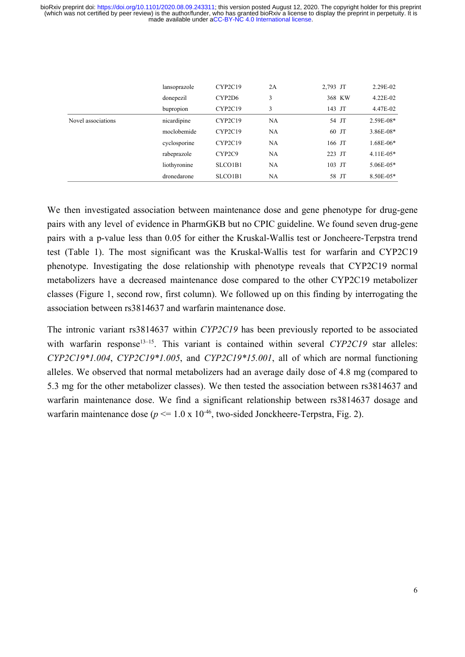|                    | lansoprazole | CYP2C19 | 2A        | 2,793 JT | 2.29E-02       |
|--------------------|--------------|---------|-----------|----------|----------------|
|                    | donepezil    | CYP2D6  | 3         | 368 KW   | $4.22E - 02$   |
|                    | bupropion    | CYP2C19 | 3         | 143 JT   | 4.47E-02       |
| Novel associations | nicardipine  | CYP2C19 | NA        | 54 JT    | 2.59E-08*      |
|                    | moclobemide  | CYP2C19 | NA        | 60 JT    | $3.86E-08*$    |
|                    | cyclosporine | CYP2C19 | NA        | 166 JT   | $1.68E-06*$    |
|                    | rabeprazole  | CYP2C9  | NA        | 223 JT   | $4.11E-05*$    |
|                    | liothyronine | SLCO1B1 | NA        | 103 JT   | $5.06E - 0.5*$ |
|                    | dronedarone  | SLCO1B1 | <b>NA</b> | 58 JT    | 8.50E-05*      |
|                    |              |         |           |          |                |

We then investigated association between maintenance dose and gene phenotype for drug-gene pairs with any level of evidence in PharmGKB but no CPIC guideline. We found seven drug-gene pairs with a p-value less than 0.05 for either the Kruskal-Wallis test or Joncheere-Terpstra trend test (Table 1). The most significant was the Kruskal-Wallis test for warfarin and CYP2C19 phenotype. Investigating the dose relationship with phenotype reveals that CYP2C19 normal metabolizers have a decreased maintenance dose compared to the other CYP2C19 metabolizer classes (Figure 1, second row, first column). We followed up on this finding by interrogating the association between rs3814637 and warfarin maintenance dose.

The intronic variant rs3814637 within *CYP2C19* has been previously reported to be associated with warfarin response<sup>13-15</sup>. This variant is contained within several *CYP2C19* star alleles: *CYP2C19\*1.004*, *CYP2C19\*1.005*, and *CYP2C19\*15.001*, all of which are normal functioning alleles. We observed that normal metabolizers had an average daily dose of 4.8 mg (compared to 5.3 mg for the other metabolizer classes). We then tested the association between rs3814637 and warfarin maintenance dose. We find a significant relationship between rs3814637 dosage and warfarin maintenance dose ( $p \le 1.0 \times 10^{-46}$ , two-sided Jonckheere-Terpstra, Fig. 2).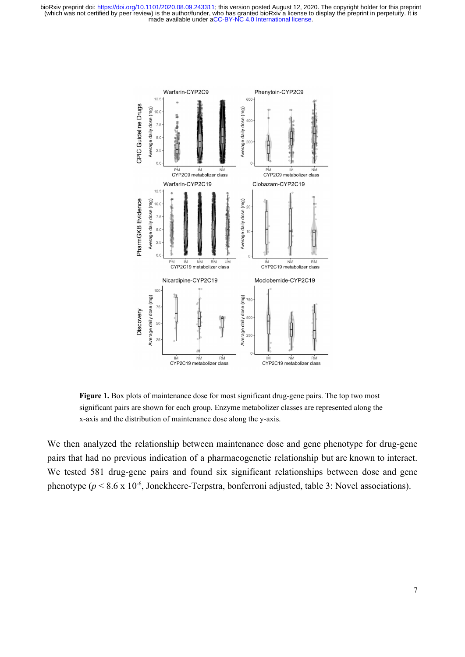

**Figure 1.** Box plots of maintenance dose for most significant drug-gene pairs. The top two most significant pairs are shown for each group. Enzyme metabolizer classes are represented along the x-axis and the distribution of maintenance dose along the y-axis.

We then analyzed the relationship between maintenance dose and gene phenotype for drug-gene pairs that had no previous indication of a pharmacogenetic relationship but are known to interact. We tested 581 drug-gene pairs and found six significant relationships between dose and gene phenotype ( $p < 8.6$  x 10<sup>-6</sup>, Jonckheere-Terpstra, bonferroni adjusted, table 3: Novel associations).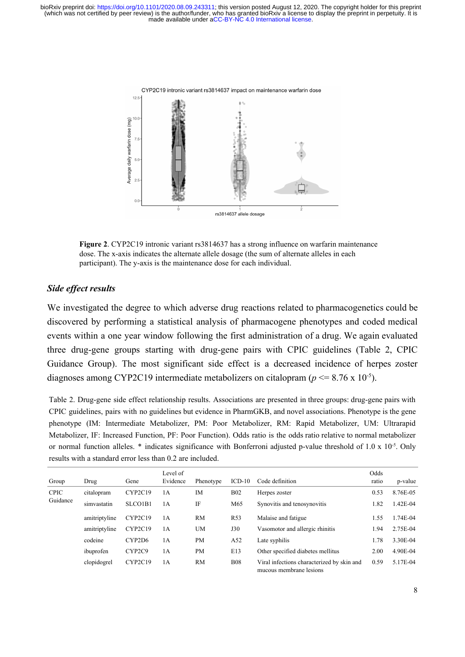

**Figure 2**. CYP2C19 intronic variant rs3814637 has a strong influence on warfarin maintenance dose. The x-axis indicates the alternate allele dosage (the sum of alternate alleles in each participant). The y-axis is the maintenance dose for each individual.

### *Side effect results*

We investigated the degree to which adverse drug reactions related to pharmacogenetics could be discovered by performing a statistical analysis of pharmacogene phenotypes and coded medical events within a one year window following the first administration of a drug. We again evaluated three drug-gene groups starting with drug-gene pairs with CPIC guidelines (Table 2, CPIC Guidance Group). The most significant side effect is a decreased incidence of herpes zoster diagnoses among CYP2C19 intermediate metabolizers on citalopram ( $p \le 8.76 \times 10^{-5}$ ).

Table 2. Drug-gene side effect relationship results. Associations are presented in three groups: drug-gene pairs with CPIC guidelines, pairs with no guidelines but evidence in PharmGKB, and novel associations. Phenotype is the gene phenotype (IM: Intermediate Metabolizer, PM: Poor Metabolizer, RM: Rapid Metabolizer, UM: Ultrarapid Metabolizer, IF: Increased Function, PF: Poor Function). Odds ratio is the odds ratio relative to normal metabolizer or normal function alleles.  $*$  indicates significance with Bonferroni adjusted p-value threshold of 1.0 x  $10^{-5}$ . Only results with a standard error less than 0.2 are included.

| Group                   | Drug          | Gene                            | Level of<br>Evidence | Phenotype | $ICD-10$        | Code definition                                                       | Odds<br>ratio | p-value  |
|-------------------------|---------------|---------------------------------|----------------------|-----------|-----------------|-----------------------------------------------------------------------|---------------|----------|
| <b>CPIC</b><br>Guidance | citalopram    | CYP2C19                         | 1 A                  | IM        | <b>B02</b>      | Herpes zoster                                                         | 0.53          | 8.76E-05 |
|                         | simvastatin   | SLCO1B1                         | 1 A                  | IF        | M65             | Synovitis and tenosynovitis                                           | 1.82          | 1.42E-04 |
|                         | amitriptyline | CYP2C19                         | 1A                   | <b>RM</b> | R <sub>53</sub> | Malaise and fatigue                                                   | 1.55          | 1.74E-04 |
|                         | amitriptyline | CYP2C19                         | 1A                   | <b>UM</b> | J30             | Vasomotor and allergic rhinitis                                       | 1.94          | 2.75E-04 |
|                         | codeine       | CYP2D6                          | 1А                   | <b>PM</b> | A52             | Late syphilis                                                         | 1.78          | 3.30E-04 |
|                         | ibuprofen     | CYP <sub>2</sub> C <sub>9</sub> | 1А                   | <b>PM</b> | E13             | Other specified diabetes mellitus                                     | 2.00          | 4.90E-04 |
|                         | clopidogrel   | CYP2C19                         | 1A                   | <b>RM</b> | <b>B08</b>      | Viral infections characterized by skin and<br>mucous membrane lesions | 0.59          | 5.17E-04 |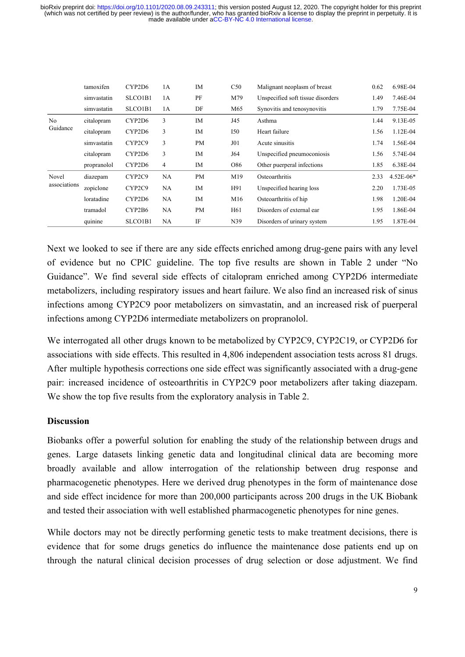|                            | tamoxifen   | CYP2D6  | 1A        | <b>IM</b> | C50             | Malignant neoplasm of breast      | 0.62 | 6.98E-04      |
|----------------------------|-------------|---------|-----------|-----------|-----------------|-----------------------------------|------|---------------|
|                            | simvastatin | SLCO1B1 | 1A        | PF        | M79             | Unspecified soft tissue disorders | 1.49 | 7.46E-04      |
|                            | simvastatin | SLCO1B1 | 1A        | DF        | M65             | Synovitis and tenosynovitis       | 1.79 | 7.75E-04      |
| N <sub>o</sub><br>Guidance | citalopram  | CYP2D6  | 3         | <b>IM</b> | J45             | Asthma                            | 1.44 | 9.13E-05      |
|                            | citalopram  | CYP2D6  | 3         | <b>IM</b> | <b>I50</b>      | Heart failure                     | 1.56 | 1.12E-04      |
|                            | simvastatin | CYP2C9  | 3         | <b>PM</b> | J01             | Acute sinusitis                   | 1.74 | 1.56E-04      |
|                            | citalopram  | CYP2D6  | 3         | <b>IM</b> | J64             | Unspecified pneumoconiosis        | 1.56 | 5.74E-04      |
|                            | propranolol | CYP2D6  | 4         | IM        | O86             | Other puerperal infections        | 1.85 | 6.38E-04      |
| Novel<br>associations      | diazepam    | CYP2C9  | NA        | PM        | M19             | Osteoarthritis                    | 2.33 | $4.52E - 06*$ |
|                            | zopiclone   | CYP2C9  | NA        | IM        | H91             | Unspecified hearing loss          | 2.20 | 1.73E-05      |
|                            | loratadine  | CYP2D6  | <b>NA</b> | <b>IM</b> | M16             | Osteoarthritis of hip             | 1.98 | 1.20E-04      |
|                            | tramadol    | CYP2B6  | <b>NA</b> | <b>PM</b> | H <sub>61</sub> | Disorders of external ear         | 1.95 | 1.86E-04      |
|                            | quinine     | SLCO1B1 | <b>NA</b> | IF        | N39             | Disorders of urinary system       | 1.95 | 1.87E-04      |

Next we looked to see if there are any side effects enriched among drug-gene pairs with any level of evidence but no CPIC guideline. The top five results are shown in Table 2 under "No Guidance". We find several side effects of citalopram enriched among CYP2D6 intermediate metabolizers, including respiratory issues and heart failure. We also find an increased risk of sinus infections among CYP2C9 poor metabolizers on simvastatin, and an increased risk of puerperal infections among CYP2D6 intermediate metabolizers on propranolol.

We interrogated all other drugs known to be metabolized by CYP2C9, CYP2C19, or CYP2D6 for associations with side effects. This resulted in 4,806 independent association tests across 81 drugs. After multiple hypothesis corrections one side effect was significantly associated with a drug-gene pair: increased incidence of osteoarthritis in CYP2C9 poor metabolizers after taking diazepam. We show the top five results from the exploratory analysis in Table 2.

## **Discussion**

Biobanks offer a powerful solution for enabling the study of the relationship between drugs and genes. Large datasets linking genetic data and longitudinal clinical data are becoming more broadly available and allow interrogation of the relationship between drug response and pharmacogenetic phenotypes. Here we derived drug phenotypes in the form of maintenance dose and side effect incidence for more than 200,000 participants across 200 drugs in the UK Biobank and tested their association with well established pharmacogenetic phenotypes for nine genes.

While doctors may not be directly performing genetic tests to make treatment decisions, there is evidence that for some drugs genetics do influence the maintenance dose patients end up on through the natural clinical decision processes of drug selection or dose adjustment. We find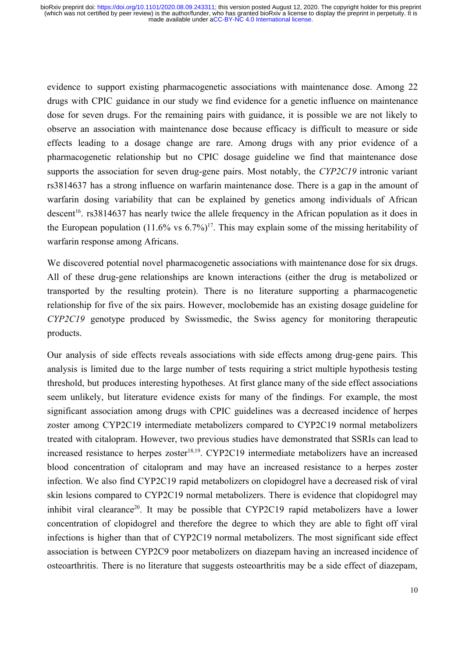evidence to support existing pharmacogenetic associations with maintenance dose. Among 22 drugs with CPIC guidance in our study we find evidence for a genetic influence on maintenance dose for seven drugs. For the remaining pairs with guidance, it is possible we are not likely to observe an association with maintenance dose because efficacy is difficult to measure or side effects leading to a dosage change are rare. Among drugs with any prior evidence of a pharmacogenetic relationship but no CPIC dosage guideline we find that maintenance dose supports the association for seven drug-gene pairs. Most notably, the *CYP2C19* intronic variant rs3814637 has a strong influence on warfarin maintenance dose. There is a gap in the amount of warfarin dosing variability that can be explained by genetics among individuals of African descent<sup>[16](https://paperpile.com/c/7YLZw0/3Cuo)</sup>. rs3814637 has nearly twice the allele frequency in the African population as it does in the European population  $(11.6\% \text{ vs } 6.7\%)^{17}$ . This may explain some of the missing heritability of warfarin response among Africans.

We discovered potential novel pharmacogenetic associations with maintenance dose for six drugs. All of these drug-gene relationships are known interactions (either the drug is metabolized or transported by the resulting protein). There is no literature supporting a pharmacogenetic relationship for five of the six pairs. However, moclobemide has an existing dosage guideline for *CYP2C19* genotype produced by Swissmedic, the Swiss agency for monitoring therapeutic products.

Our analysis of side effects reveals associations with side effects among drug-gene pairs. This analysis is limited due to the large number of tests requiring a strict multiple hypothesis testing threshold, but produces interesting hypotheses. At first glance many of the side effect associations seem unlikely, but literature evidence exists for many of the findings. For example, the most significant association among drugs with CPIC guidelines was a decreased incidence of herpes zoster among CYP2C19 intermediate metabolizers compared to CYP2C19 normal metabolizers treated with citalopram. However, two previous studies have demonstrated that SSRIs can lead to increased resistance to herpes zoster<sup>18,19</sup>[.](https://paperpile.com/c/7YLZw0/qhlR+TwH4) CYP2C19 intermediate metabolizers have an increased blood concentration of citalopram and may have an increased resistance to a herpes zoster infection. We also find CYP2C19 rapid metabolizers on clopidogrel have a decreased risk of viral skin lesions compared to CYP2C19 normal metabolizers. There is evidence that clopidogrel may inhibit viral clearance<sup>20</sup>. It may be possible that CYP2C19 rapid metabolizers have a lower concentration of clopidogrel and therefore the degree to which they are able to fight off viral infections is higher than that of CYP2C19 normal metabolizers. The most significant side effect association is between CYP2C9 poor metabolizers on diazepam having an increased incidence of osteoarthritis. There is no literature that suggests osteoarthritis may be a side effect of diazepam,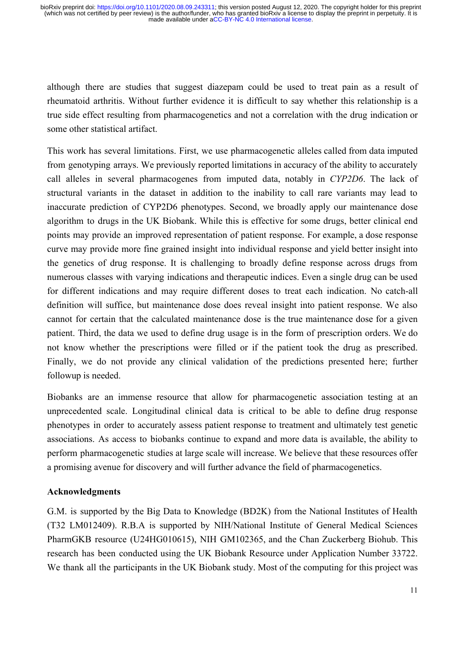although there are studies that suggest diazepam could be used to treat pain as a result of rheumatoid arthritis. Without further evidence it is difficult to say whether this relationship is a true side effect resulting from pharmacogenetics and not a correlation with the drug indication or some other statistical artifact.

This work has several limitations. First, we use pharmacogenetic alleles called from data imputed from genotyping arrays. We previously reported limitations in accuracy of the ability to accurately call alleles in several pharmacogenes from imputed data, notably in *CYP2D6*. The lack of structural variants in the dataset in addition to the inability to call rare variants may lead to inaccurate prediction of CYP2D6 phenotypes. Second, we broadly apply our maintenance dose algorithm to drugs in the UK Biobank. While this is effective for some drugs, better clinical end points may provide an improved representation of patient response. For example, a dose response curve may provide more fine grained insight into individual response and yield better insight into the genetics of drug response. It is challenging to broadly define response across drugs from numerous classes with varying indications and therapeutic indices. Even a single drug can be used for different indications and may require different doses to treat each indication. No catch-all definition will suffice, but maintenance dose does reveal insight into patient response. We also cannot for certain that the calculated maintenance dose is the true maintenance dose for a given patient. Third, the data we used to define drug usage is in the form of prescription orders. We do not know whether the prescriptions were filled or if the patient took the drug as prescribed. Finally, we do not provide any clinical validation of the predictions presented here; further followup is needed.

Biobanks are an immense resource that allow for pharmacogenetic association testing at an unprecedented scale. Longitudinal clinical data is critical to be able to define drug response phenotypes in order to accurately assess patient response to treatment and ultimately test genetic associations. As access to biobanks continue to expand and more data is available, the ability to perform pharmacogenetic studies at large scale will increase. We believe that these resources offer a promising avenue for discovery and will further advance the field of pharmacogenetics.

## **Acknowledgments**

G.M. is supported by the Big Data to Knowledge (BD2K) from the National Institutes of Health (T32 LM012409). R.B.A is supported by NIH/National Institute of General Medical Sciences PharmGKB resource (U24HG010615), NIH GM102365, and the Chan Zuckerberg Biohub. This research has been conducted using the UK Biobank Resource under Application Number 33722. We thank all the participants in the UK Biobank study. Most of the computing for this project was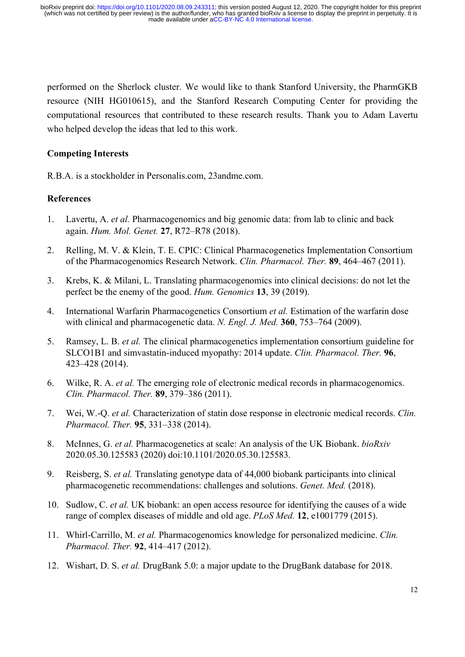performed on the Sherlock cluster. We would like to thank Stanford University, the PharmGKB resource (NIH HG010615), and the Stanford Research Computing Center for providing the computational resources that contributed to these research results. Thank you to Adam Lavertu who helped develop the ideas that led to this work.

# **Competing Interests**

R.B.A. is a stockholder in Personalis.com, 23andme.com.

# **References**

- 1. [Lavertu, A.](http://paperpile.com/b/7YLZw0/sUVc) *[et al.](http://paperpile.com/b/7YLZw0/sUVc)* [Pharmacogenomics and big genomic data: from lab to clinic and back](http://paperpile.com/b/7YLZw0/sUVc) [again.](http://paperpile.com/b/7YLZw0/sUVc) *[Hum. Mol. Genet.](http://paperpile.com/b/7YLZw0/sUVc)* **[27](http://paperpile.com/b/7YLZw0/sUVc)**[, R72–R78 \(2018\).](http://paperpile.com/b/7YLZw0/sUVc)
- 2. [Relling, M. V. & Klein, T. E. CPIC: Clinical Pharmacogenetics Implementation Consortium](http://paperpile.com/b/7YLZw0/Tk2f)  [of the Pharmacogenomics Research Network.](http://paperpile.com/b/7YLZw0/Tk2f) *[Clin. Pharmacol. Ther.](http://paperpile.com/b/7YLZw0/Tk2f)* **[89](http://paperpile.com/b/7YLZw0/Tk2f)**[, 464–467 \(2011\).](http://paperpile.com/b/7YLZw0/Tk2f)
- 3. [Krebs, K. & Milani, L. Translating pharmacogenomics into clinical decisions: do not let the](http://paperpile.com/b/7YLZw0/PasA)  [perfect be the enemy of the good.](http://paperpile.com/b/7YLZw0/PasA) *[Hum. Genomics](http://paperpile.com/b/7YLZw0/PasA)* **[13](http://paperpile.com/b/7YLZw0/PasA)**[, 39 \(2019\).](http://paperpile.com/b/7YLZw0/PasA)
- 4. [International Warfarin Pharmacogenetics Consortium](http://paperpile.com/b/7YLZw0/Mbui) *[et al.](http://paperpile.com/b/7YLZw0/Mbui)* [Estimation of the warfarin dose](http://paperpile.com/b/7YLZw0/Mbui)  [with clinical and pharmacogenetic data.](http://paperpile.com/b/7YLZw0/Mbui) *[N. Engl. J. Med.](http://paperpile.com/b/7YLZw0/Mbui)* **[360](http://paperpile.com/b/7YLZw0/Mbui)**[, 753–764 \(2009\).](http://paperpile.com/b/7YLZw0/Mbui)
- 5. [Ramsey, L. B.](http://paperpile.com/b/7YLZw0/iyfB) *[et al.](http://paperpile.com/b/7YLZw0/iyfB)* [The clinical pharmacogenetics implementation consortium guideline for](http://paperpile.com/b/7YLZw0/iyfB) [SLCO1B1 and simvastatin-induced myopathy: 2014 update.](http://paperpile.com/b/7YLZw0/iyfB) *[Clin. Pharmacol. Ther.](http://paperpile.com/b/7YLZw0/iyfB)* **[96](http://paperpile.com/b/7YLZw0/iyfB)**[,](http://paperpile.com/b/7YLZw0/iyfB)  [423–428 \(2014\).](http://paperpile.com/b/7YLZw0/iyfB)
- 6. [Wilke, R. A.](http://paperpile.com/b/7YLZw0/1Fqu) *[et al.](http://paperpile.com/b/7YLZw0/1Fqu)* [The emerging role of electronic medical records in pharmacogenomics.](http://paperpile.com/b/7YLZw0/1Fqu) *[Clin. Pharmacol. Ther.](http://paperpile.com/b/7YLZw0/1Fqu)* **[89](http://paperpile.com/b/7YLZw0/1Fqu)**[, 379–386 \(2011\).](http://paperpile.com/b/7YLZw0/1Fqu)
- 7. [Wei, W.-Q.](http://paperpile.com/b/7YLZw0/zlYs) *[et al.](http://paperpile.com/b/7YLZw0/zlYs)* [Characterization of statin dose response in electronic medical records.](http://paperpile.com/b/7YLZw0/zlYs) *[Clin.](http://paperpile.com/b/7YLZw0/zlYs)  [Pharmacol. Ther.](http://paperpile.com/b/7YLZw0/zlYs)* **[95](http://paperpile.com/b/7YLZw0/zlYs)**[, 331–338 \(2014\).](http://paperpile.com/b/7YLZw0/zlYs)
- 8. [McInnes, G.](http://paperpile.com/b/7YLZw0/im9c) *[et al.](http://paperpile.com/b/7YLZw0/im9c)* [Pharmacogenetics at scale: An analysis of the UK Biobank.](http://paperpile.com/b/7YLZw0/im9c) *[bioRxiv](http://paperpile.com/b/7YLZw0/im9c)* [2020.05.30.125583 \(2020\) doi:](http://paperpile.com/b/7YLZw0/im9c)[10.1101/2020.05.30.125583](http://dx.doi.org/10.1101/2020.05.30.125583)[.](http://paperpile.com/b/7YLZw0/im9c)
- 9. [Reisberg, S.](http://paperpile.com/b/7YLZw0/mhTf) *[et al.](http://paperpile.com/b/7YLZw0/mhTf)* [Translating genotype data of 44,000 biobank participants into clinical](http://paperpile.com/b/7YLZw0/mhTf) [pharmacogenetic recommendations: challenges and solutions.](http://paperpile.com/b/7YLZw0/mhTf) *[Genet. Med.](http://paperpile.com/b/7YLZw0/mhTf)* [\(2018\).](http://paperpile.com/b/7YLZw0/mhTf)
- 10. [Sudlow, C.](http://paperpile.com/b/7YLZw0/ilTN) *[et al.](http://paperpile.com/b/7YLZw0/ilTN)* [UK biobank: an open access resource for identifying the causes of a wide](http://paperpile.com/b/7YLZw0/ilTN) [range of complex diseases of middle and old age.](http://paperpile.com/b/7YLZw0/ilTN) *[PLoS Med.](http://paperpile.com/b/7YLZw0/ilTN)* **[12](http://paperpile.com/b/7YLZw0/ilTN)**[, e1001779 \(2015\).](http://paperpile.com/b/7YLZw0/ilTN)
- 11. [Whirl-Carrillo, M.](http://paperpile.com/b/7YLZw0/iAXe) *[et al.](http://paperpile.com/b/7YLZw0/iAXe)* [Pharmacogenomics knowledge for personalized medicine.](http://paperpile.com/b/7YLZw0/iAXe) *[Clin.](http://paperpile.com/b/7YLZw0/iAXe)  [Pharmacol. Ther.](http://paperpile.com/b/7YLZw0/iAXe)* **[92](http://paperpile.com/b/7YLZw0/iAXe)**[, 414–417 \(2012\).](http://paperpile.com/b/7YLZw0/iAXe)
- 12. [Wishart, D. S.](http://paperpile.com/b/7YLZw0/2c34) *[et al.](http://paperpile.com/b/7YLZw0/2c34)* [DrugBank 5.0: a major update to the DrugBank database for 2018.](http://paperpile.com/b/7YLZw0/2c34)